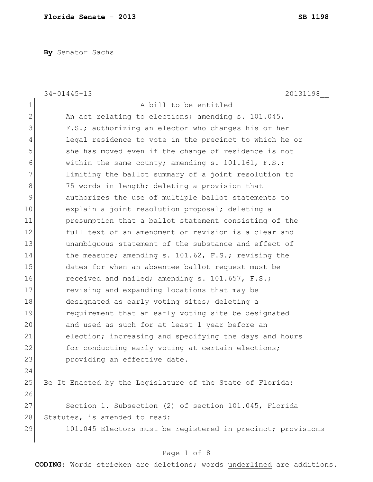**By** Senator Sachs

|              | $34 - 01445 - 13$<br>20131198                               |
|--------------|-------------------------------------------------------------|
| $\mathbf 1$  | A bill to be entitled                                       |
| $\mathbf{2}$ | An act relating to elections; amending s. 101.045,          |
| 3            | F.S.; authorizing an elector who changes his or her         |
| 4            | legal residence to vote in the precinct to which he or      |
| 5            | she has moved even if the change of residence is not        |
| 6            | within the same county; amending s. 101.161, F.S.;          |
| 7            | limiting the ballot summary of a joint resolution to        |
| 8            | 75 words in length; deleting a provision that               |
| 9            | authorizes the use of multiple ballot statements to         |
| 10           | explain a joint resolution proposal; deleting a             |
| 11           | presumption that a ballot statement consisting of the       |
| 12           | full text of an amendment or revision is a clear and        |
| 13           | unambiquous statement of the substance and effect of        |
| 14           | the measure; amending s. 101.62, F.S.; revising the         |
| 15           | dates for when an absentee ballot request must be           |
| 16           | received and mailed; amending s. 101.657, F.S.;             |
| 17           | revising and expanding locations that may be                |
| 18           | designated as early voting sites; deleting a                |
| 19           | requirement that an early voting site be designated         |
| 20           | and used as such for at least 1 year before an              |
| 21           | election; increasing and specifying the days and hours      |
| 22           | for conducting early voting at certain elections;           |
| 23           | providing an effective date.                                |
| 24           |                                                             |
| 25           | Be It Enacted by the Leqislature of the State of Florida:   |
| 26           |                                                             |
| 27           | Section 1. Subsection (2) of section 101.045, Florida       |
| 28           | Statutes, is amended to read:                               |
| 29           | 101.045 Electors must be registered in precinct; provisions |
|              |                                                             |

# Page 1 of 8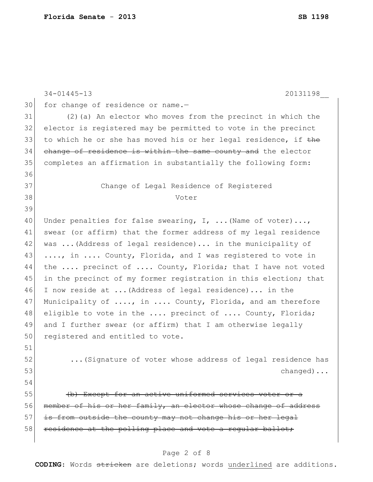|    | $34 - 01445 - 13$<br>20131198                                    |
|----|------------------------------------------------------------------|
| 30 | for change of residence or name.-                                |
| 31 | (2) (a) An elector who moves from the precinct in which the      |
| 32 | elector is registered may be permitted to vote in the precinct   |
| 33 | to which he or she has moved his or her legal residence, if the  |
| 34 | change of residence is within the same county and the elector    |
| 35 | completes an affirmation in substantially the following form:    |
| 36 |                                                                  |
| 37 | Change of Legal Residence of Registered                          |
| 38 | Voter                                                            |
| 39 |                                                                  |
| 40 | Under penalties for false swearing, $I$ ,  (Name of voter),      |
| 41 | swear (or affirm) that the former address of my legal residence  |
| 42 | was  (Address of legal residence) in the municipality of         |
| 43 | , in  County, Florida, and I was registered to vote in           |
| 44 | the  precinct of  County, Florida; that I have not voted         |
| 45 | in the precinct of my former registration in this election; that |
| 46 | I now reside at  (Address of legal residence) in the             |
| 47 | Municipality of , in  County, Florida, and am therefore          |
| 48 | eligible to vote in the  precinct of  County, Florida;           |
| 49 | and I further swear (or affirm) that I am otherwise legally      |
| 50 | registered and entitled to vote.                                 |
| 51 |                                                                  |
| 52 | (Signature of voter whose address of legal residence has         |
| 53 | $channel$                                                        |
| 54 |                                                                  |
| 55 | (b) Except for an active uniformed services voter or a           |
| 56 | member of his or her family, an elector whose change of address  |
| 57 | is from outside the county may not change his or her legal       |
| 58 | residence at the polling place and vote a regular ballot;        |
|    |                                                                  |

## Page 2 of 8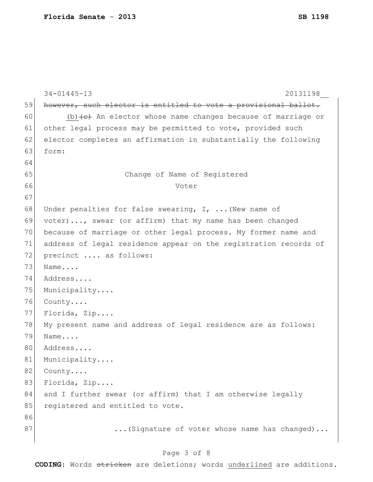|    | $34 - 01445 - 13$<br>20131198                                                      |
|----|------------------------------------------------------------------------------------|
| 59 | however, such elector is entitled to vote a provisional ballot.                    |
| 60 | (b) $\left\{\epsilon\right\}$ An elector whose name changes because of marriage or |
| 61 | other legal process may be permitted to vote, provided such                        |
| 62 | elector completes an affirmation in substantially the following                    |
| 63 | form:                                                                              |
| 64 |                                                                                    |
| 65 | Change of Name of Registered                                                       |
| 66 | Voter                                                                              |
| 67 |                                                                                    |
| 68 | Under penalties for false swearing, I,  (New name of                               |
| 69 | voter), swear (or affirm) that my name has been changed                            |
| 70 | because of marriage or other legal process. My former name and                     |
| 71 | address of legal residence appear on the registration records of                   |
| 72 | precinct  as follows:                                                              |
| 73 | Name                                                                               |
| 74 | Address                                                                            |
| 75 | Municipality                                                                       |
| 76 | County                                                                             |
| 77 | Florida, Zip                                                                       |
| 78 | My present name and address of legal residence are as follows:                     |
| 79 | Name                                                                               |
| 80 | Address                                                                            |
| 81 | Municipality                                                                       |
| 82 | County                                                                             |
| 83 | Florida, Zip                                                                       |
| 84 | and I further swear (or affirm) that I am otherwise legally                        |
| 85 | registered and entitled to vote.                                                   |
| 86 |                                                                                    |
| 87 | (Signature of voter whose name has changed)                                        |
|    |                                                                                    |

## Page 3 of 8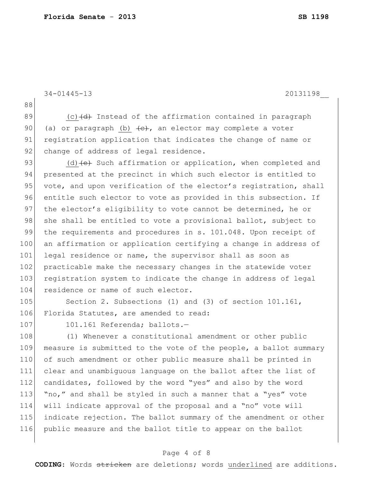```
34-01445-13 20131198__
88
89 (c) \left(\frac{d}{dt}\right) Instead of the affirmation contained in paragraph
90 (a) or paragraph (b) \left\lbrace e \right\rbrace, an elector may complete a voter
91 registration application that indicates the change of name or
92 change of address of legal residence.
93 (d) \left( e \right) Such affirmation or application, when completed and
94 presented at the precinct in which such elector is entitled to
95 vote, and upon verification of the elector's registration, shall
96 entitle such elector to vote as provided in this subsection. If
97 the elector's eligibility to vote cannot be determined, he or
98 she shall be entitled to vote a provisional ballot, subject to
99 the requirements and procedures in s. 101.048. Upon receipt of
100 an affirmation or application certifying a change in address of
101 legal residence or name, the supervisor shall as soon as
102 practicable make the necessary changes in the statewide voter
103 registration system to indicate the change in address of legal
104 residence or name of such elector.
105 Section 2. Subsections (1) and (3) of section 101.161,
106 Florida Statutes, are amended to read:
107 101.161 Referenda; ballots.-
108 (1) Whenever a constitutional amendment or other public
```
109 measure is submitted to the vote of the people, a ballot summary 110 of such amendment or other public measure shall be printed in 111 clear and unambiguous language on the ballot after the list of 112 candidates, followed by the word "yes" and also by the word 113 "no," and shall be styled in such a manner that a "yes" vote 114 will indicate approval of the proposal and a "no" vote will 115 indicate rejection. The ballot summary of the amendment or other 116 public measure and the ballot title to appear on the ballot

### Page 4 of 8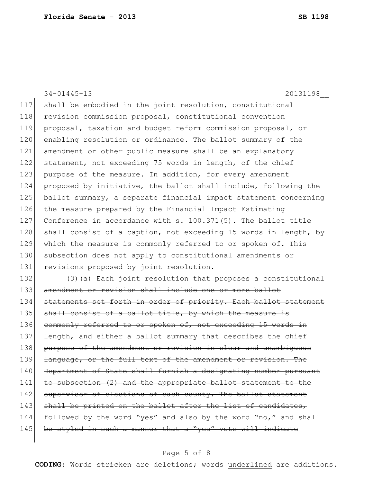34-01445-13 20131198\_\_ 117 shall be embodied in the joint resolution, constitutional 118 revision commission proposal, constitutional convention 119 proposal, taxation and budget reform commission proposal, or 120 enabling resolution or ordinance. The ballot summary of the 121 amendment or other public measure shall be an explanatory 122 statement, not exceeding 75 words in length, of the chief 123 purpose of the measure. In addition, for every amendment 124 proposed by initiative, the ballot shall include, following the 125 ballot summary, a separate financial impact statement concerning 126 the measure prepared by the Financial Impact Estimating 127 Conference in accordance with s. 100.371(5). The ballot title 128 shall consist of a caption, not exceeding 15 words in length, by 129 which the measure is commonly referred to or spoken of. This 130 subsection does not apply to constitutional amendments or 131 revisions proposed by joint resolution. 132 (3)(a) Each joint resolution that proposes a constitutional 133 amendment or revision shall include one or more ballot 134 statements set forth in order of priority. Each ballot statement 135 shall consist of a ballot title, by which the measure is 136 commonly referred to or spoken of, not exceeding 15 words in 137 length, and either a ballot summary that describes the chief 138 purpose of the amendment or revision in clear and unambiguous 139 <del>language, or the full text of the amendment or revision. The</del> 140 Department of State shall furnish a designating number pursuant 141 to subsection (2) and the appropriate ballot statement to the 142 supervisor of elections of each county. The ballot statement 143 shall be printed on the ballot after the list of candidates,

- $144$  followed by the word "yes" and also by the word "no," and shall
- 145 be styled in such a manner that a "yes" vote will indicate

### Page 5 of 8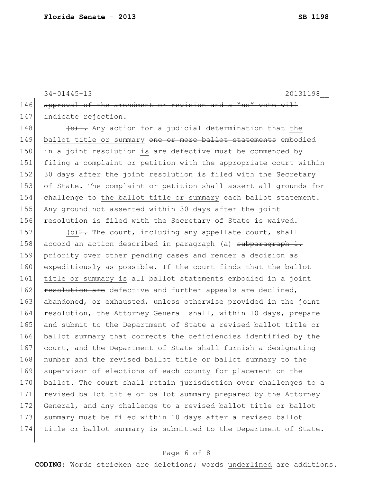34-01445-13 20131198\_\_

146 approval of the amendment or revision and a "no" 147 indicate rejection.

148  $\leftarrow$   $\leftarrow$   $\leftarrow$   $\leftarrow$   $\leftarrow$   $\leftarrow$   $\leftarrow$   $\leftarrow$   $\leftarrow$   $\leftarrow$   $\leftarrow$   $\leftarrow$   $\leftarrow$   $\leftarrow$   $\leftarrow$   $\leftarrow$   $\leftarrow$   $\leftarrow$   $\leftarrow$   $\leftarrow$   $\leftarrow$   $\leftarrow$   $\leftarrow$   $\leftarrow$   $\leftarrow$   $\leftarrow$   $\leftarrow$   $\leftarrow$   $\leftarrow$   $\leftarrow$   $\leftarrow$   $\leftarrow$   $\leftarrow$   $\leftarrow$   $\leftarrow$   $\leftarrow$  149 ballot title or summary one or more ballot statements embodied 150 in a joint resolution is  $are$  defective must be commenced by 151 filing a complaint or petition with the appropriate court within 152 30 days after the joint resolution is filed with the Secretary 153 of State. The complaint or petition shall assert all grounds for 154 challenge to the ballot title or summary each ballot statement. 155 Any ground not asserted within 30 days after the joint 156 resolution is filed with the Secretary of State is waived.

157 (b)  $2$ . The court, including any appellate court, shall 158 accord an action described in paragraph (a) subparagraph 1. 159 priority over other pending cases and render a decision as 160 expeditiously as possible. If the court finds that the ballot 161 title or summary is all ballot statements embodied in a joint 162 resolution are defective and further appeals are declined, 163 abandoned, or exhausted, unless otherwise provided in the joint 164 resolution, the Attorney General shall, within 10 days, prepare 165 and submit to the Department of State a revised ballot title or 166 ballot summary that corrects the deficiencies identified by the 167 court, and the Department of State shall furnish a designating 168 number and the revised ballot title or ballot summary to the 169 supervisor of elections of each county for placement on the 170 ballot. The court shall retain jurisdiction over challenges to a 171 revised ballot title or ballot summary prepared by the Attorney 172 General, and any challenge to a revised ballot title or ballot 173 summary must be filed within 10 days after a revised ballot 174 title or ballot summary is submitted to the Department of State.

### Page 6 of 8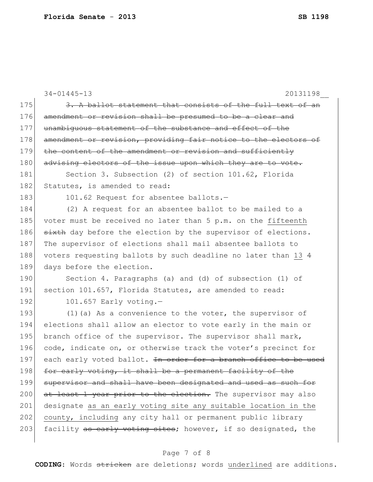|     | $34 - 01445 - 13$<br>20131198                                    |
|-----|------------------------------------------------------------------|
| 175 | 3. A ballot statement that consists of the full text of an       |
| 176 | amendment or revision shall be presumed to be a clear and        |
| 177 | unambiquous statement of the substance and effect of the         |
| 178 | amendment or revision, providing fair notice to the electors of  |
| 179 | the content of the amendment or revision and sufficiently        |
| 180 | advising electors of the issue upon which they are to vote.      |
| 181 | Section 3. Subsection (2) of section 101.62, Florida             |
| 182 | Statutes, is amended to read:                                    |
| 183 | 101.62 Request for absentee ballots.-                            |
| 184 | (2) A request for an absentee ballot to be mailed to a           |
| 185 | voter must be received no later than 5 p.m. on the fifteenth     |
| 186 | sixth day before the election by the supervisor of elections.    |
| 187 | The supervisor of elections shall mail absentee ballots to       |
| 188 | voters requesting ballots by such deadline no later than 13 4    |
| 189 | days before the election.                                        |
| 190 | Section 4. Paragraphs (a) and (d) of subsection (1) of           |
| 191 | section 101.657, Florida Statutes, are amended to read:          |
| 192 | $101.657$ Early voting.-                                         |
| 193 | $(1)$ (a) As a convenience to the voter, the supervisor of       |
| 194 | elections shall allow an elector to vote early in the main or    |
| 195 | branch office of the supervisor. The supervisor shall mark,      |
| 196 | code, indicate on, or otherwise track the voter's precinct for   |
| 197 | each early voted ballot. In order for a branch office to be used |
| 198 | for early voting, it shall be a permanent facility of the        |
| 199 | supervisor and shall have been designated and used as such for   |
| 200 | at least 1 year prior to the election. The supervisor may also   |
| 201 | designate as an early voting site any suitable location in the   |
| 202 | county, including any city hall or permanent public library      |
| 203 | facility as early voting sites; however, if so designated, the   |
|     |                                                                  |

## Page 7 of 8